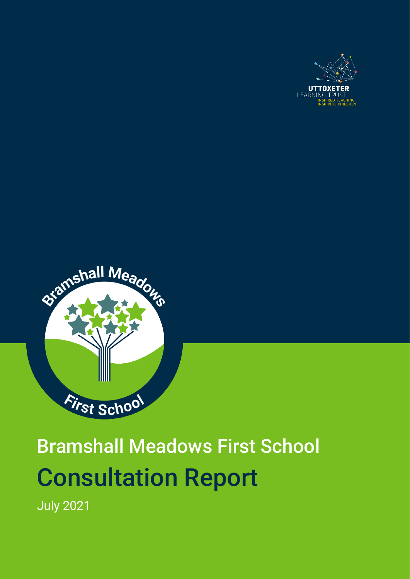



# Bramshall Meadows First School Consultation Report

July 2021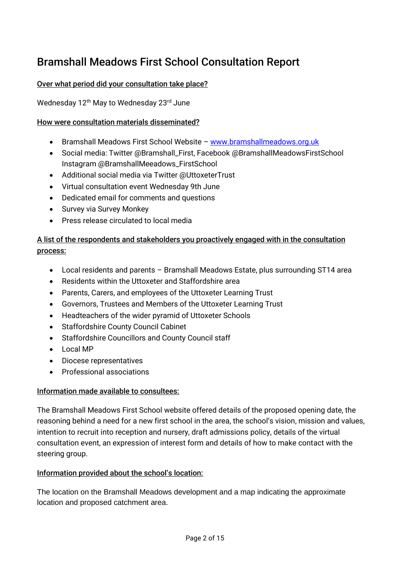# Bramshall Meadows First School Consultation Report

#### Over what period did your consultation take place?

#### Wednesday 12<sup>th</sup> May to Wednesday 23<sup>rd</sup> June

#### How were consultation materials disseminated?

- Bramshall Meadows First School Website [www.bramshallmeadows.org.uk](http://www.bramshallmeadows.org.uk/)
- Social media: Twitter @Bramshall\_First, Facebook @BramshallMeadowsFirstSchool Instagram @BramshallMeeadows\_FirstSchool
- Additional social media via Twitter @UttoxeterTrust
- Virtual consultation event Wednesday 9th June
- Dedicated email for comments and questions
- Survey via Survey Monkey
- Press release circulated to local media

#### A list of the respondents and stakeholders you proactively engaged with in the consultation process:

- Local residents and parents Bramshall Meadows Estate, plus surrounding ST14 area
- Residents within the Uttoxeter and Staffordshire area
- Parents, Carers, and employees of the Uttoxeter Learning Trust
- Governors, Trustees and Members of the Uttoxeter Learning Trust
- Headteachers of the wider pyramid of Uttoxeter Schools
- Staffordshire County Council Cabinet
- Staffordshire Councillors and County Council staff
- Local MP
- Diocese representatives
- Professional associations

#### Information made available to consultees:

The Bramshall Meadows First School website offered details of the proposed opening date, the reasoning behind a need for a new first school in the area, the school's vision, mission and values, intention to recruit into reception and nursery, draft admissions policy, details of the virtual consultation event, an expression of interest form and details of how to make contact with the steering group.

#### Information provided about the school's location:

The location on the Bramshall Meadows development and a map indicating the approximate location and proposed catchment area.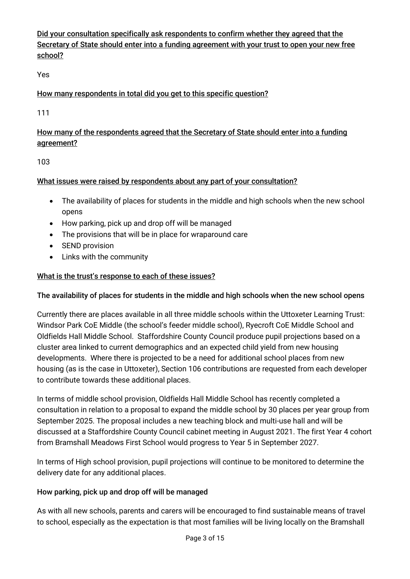Did your consultation specifically ask respondents to confirm whether they agreed that the Secretary of State should enter into a funding agreement with your trust to open your new free school?

Yes

# How many respondents in total did you get to this specific question?

111

# How many of the respondents agreed that the Secretary of State should enter into a funding agreement?

103

#### What issues were raised by respondents about any part of your consultation?

- The availability of places for students in the middle and high schools when the new school opens
- How parking, pick up and drop off will be managed
- The provisions that will be in place for wraparound care
- SEND provision
- Links with the community

# What is the trust's response to each of these issues?

#### The availability of places for students in the middle and high schools when the new school opens

Currently there are places available in all three middle schools within the Uttoxeter Learning Trust: Windsor Park CoE Middle (the school's feeder middle school), Ryecroft CoE Middle School and Oldfields Hall Middle School. Staffordshire County Council produce pupil projections based on a cluster area linked to current demographics and an expected child yield from new housing developments. Where there is projected to be a need for additional school places from new housing (as is the case in Uttoxeter), Section 106 contributions are requested from each developer to contribute towards these additional places.

In terms of middle school provision, Oldfields Hall Middle School has recently completed a consultation in relation to a proposal to expand the middle school by 30 places per year group from September 2025. The proposal includes a new teaching block and multi-use hall and will be discussed at a Staffordshire County Council cabinet meeting in August 2021. The first Year 4 cohort from Bramshall Meadows First School would progress to Year 5 in September 2027.

In terms of High school provision, pupil projections will continue to be monitored to determine the delivery date for any additional places.

#### How parking, pick up and drop off will be managed

As with all new schools, parents and carers will be encouraged to find sustainable means of travel to school, especially as the expectation is that most families will be living locally on the Bramshall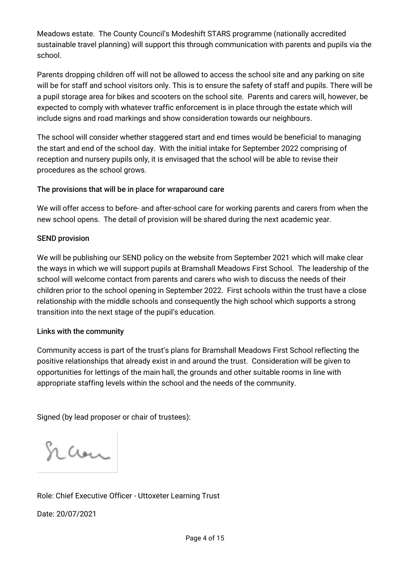Meadows estate. The County Council's Modeshift STARS programme (nationally accredited sustainable travel planning) will support this through communication with parents and pupils via the school.

Parents dropping children off will not be allowed to access the school site and any parking on site will be for staff and school visitors only. This is to ensure the safety of staff and pupils. There will be a pupil storage area for bikes and scooters on the school site. Parents and carers will, however, be expected to comply with whatever traffic enforcement is in place through the estate which will include signs and road markings and show consideration towards our neighbours.

The school will consider whether staggered start and end times would be beneficial to managing the start and end of the school day. With the initial intake for September 2022 comprising of reception and nursery pupils only, it is envisaged that the school will be able to revise their procedures as the school grows.

#### The provisions that will be in place for wraparound care

We will offer access to before- and after-school care for working parents and carers from when the new school opens. The detail of provision will be shared during the next academic year.

# SEND provision

We will be publishing our SEND policy on the website from September 2021 which will make clear the ways in which we will support pupils at Bramshall Meadows First School. The leadership of the school will welcome contact from parents and carers who wish to discuss the needs of their children prior to the school opening in September 2022. First schools within the trust have a close relationship with the middle schools and consequently the high school which supports a strong transition into the next stage of the pupil's education.

#### Links with the community

Community access is part of the trust's plans for Bramshall Meadows First School reflecting the positive relationships that already exist in and around the trust. Consideration will be given to opportunities for lettings of the main hall, the grounds and other suitable rooms in line with appropriate staffing levels within the school and the needs of the community.

Signed (by lead proposer or chair of trustees):

Scan

Role: Chief Executive Officer - Uttoxeter Learning Trust

Date: 20/07/2021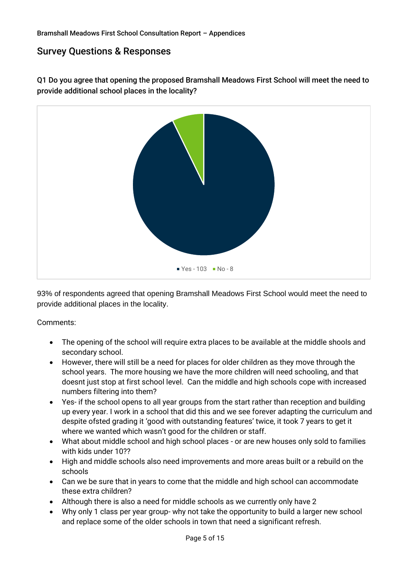# Survey Questions & Responses

Q1 Do you agree that opening the proposed Bramshall Meadows First School will meet the need to provide additional school places in the locality?



93% of respondents agreed that opening Bramshall Meadows First School would meet the need to provide additional places in the locality.

- The opening of the school will require extra places to be available at the middle shools and secondary school.
- However, there will still be a need for places for older children as they move through the school years. The more housing we have the more children will need schooling, and that doesnt just stop at first school level. Can the middle and high schools cope with increased numbers filtering into them?
- Yes- if the school opens to all year groups from the start rather than reception and building up every year. I work in a school that did this and we see forever adapting the curriculum and despite ofsted grading it 'good with outstanding features' twice, it took 7 years to get it where we wanted which wasn't good for the children or staff.
- What about middle school and high school places or are new houses only sold to families with kids under 10??
- High and middle schools also need improvements and more areas built or a rebuild on the schools
- Can we be sure that in years to come that the middle and high school can accommodate these extra children?
- Although there is also a need for middle schools as we currently only have 2
- Why only 1 class per year group- why not take the opportunity to build a larger new school and replace some of the older schools in town that need a significant refresh.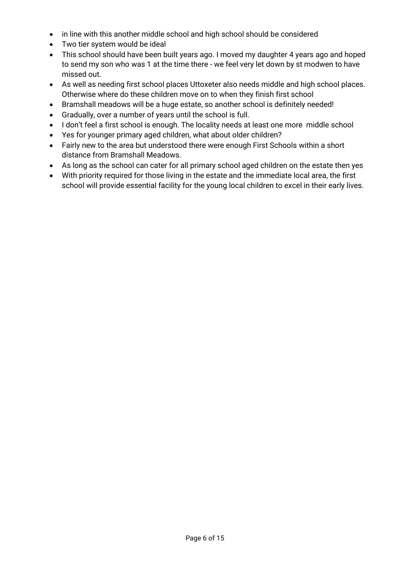- in line with this another middle school and high school should be considered
- Two tier system would be ideal
- This school should have been built years ago. I moved my daughter 4 years ago and hoped to send my son who was 1 at the time there - we feel very let down by st modwen to have missed out.
- As well as needing first school places Uttoxeter also needs middle and high school places. Otherwise where do these children move on to when they finish first school
- Bramshall meadows will be a huge estate, so another school is definitely needed!
- Gradually, over a number of years until the school is full.
- I don't feel a first school is enough. The locality needs at least one more middle school
- Yes for younger primary aged children, what about older children?
- Fairly new to the area but understood there were enough First Schools within a short distance from Bramshall Meadows.
- As long as the school can cater for all primary school aged children on the estate then yes
- With priority required for those living in the estate and the immediate local area, the first school will provide essential facility for the young local children to excel in their early lives.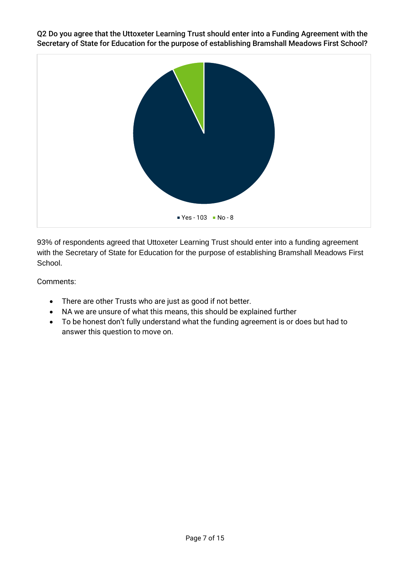Q2 Do you agree that the Uttoxeter Learning Trust should enter into a Funding Agreement with the Secretary of State for Education for the purpose of establishing Bramshall Meadows First School?



93% of respondents agreed that Uttoxeter Learning Trust should enter into a funding agreement with the Secretary of State for Education for the purpose of establishing Bramshall Meadows First School.

- There are other Trusts who are just as good if not better.
- NA we are unsure of what this means, this should be explained further
- To be honest don't fully understand what the funding agreement is or does but had to answer this question to move on.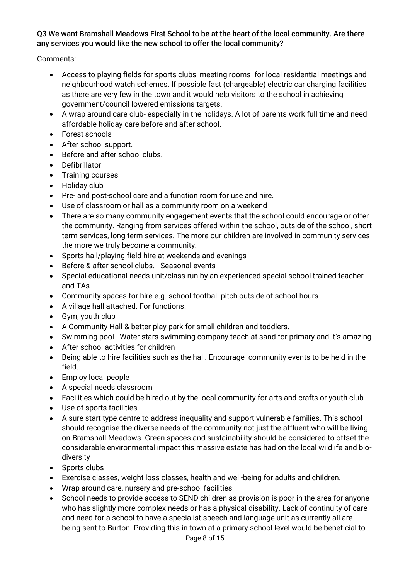#### Q3 We want Bramshall Meadows First School to be at the heart of the local community. Are there any services you would like the new school to offer the local community?

- Access to playing fields for sports clubs, meeting rooms for local residential meetings and neighbourhood watch schemes. If possible fast (chargeable) electric car charging facilities as there are very few in the town and it would help visitors to the school in achieving government/council lowered emissions targets.
- A wrap around care club- especially in the holidays. A lot of parents work full time and need affordable holiday care before and after school.
- Forest schools
- After school support.
- Before and after school clubs.
- Defibrillator
- Training courses
- Holiday club
- Pre- and post-school care and a function room for use and hire.
- Use of classroom or hall as a community room on a weekend
- There are so many community engagement events that the school could encourage or offer the community. Ranging from services offered within the school, outside of the school, short term services, long term services. The more our children are involved in community services the more we truly become a community.
- Sports hall/playing field hire at weekends and evenings
- Before & after school clubs. Seasonal events
- Special educational needs unit/class run by an experienced special school trained teacher and TAs
- Community spaces for hire e.g. school football pitch outside of school hours
- A village hall attached. For functions.
- Gym, youth club
- A Community Hall & better play park for small children and toddlers.
- Swimming pool . Water stars swimming company teach at sand for primary and it's amazing
- After school activities for children
- Being able to hire facilities such as the hall. Encourage community events to be held in the field.
- Employ local people
- A special needs classroom
- Facilities which could be hired out by the local community for arts and crafts or youth club
- Use of sports facilities
- A sure start type centre to address inequality and support vulnerable families. This school should recognise the diverse needs of the community not just the affluent who will be living on Bramshall Meadows. Green spaces and sustainability should be considered to offset the considerable environmental impact this massive estate has had on the local wildlife and biodiversity
- Sports clubs
- Exercise classes, weight loss classes, health and well-being for adults and children.
- Wrap around care, nursery and pre-school facilities
- School needs to provide access to SEND children as provision is poor in the area for anyone who has slightly more complex needs or has a physical disability. Lack of continuity of care and need for a school to have a specialist speech and language unit as currently all are being sent to Burton. Providing this in town at a primary school level would be beneficial to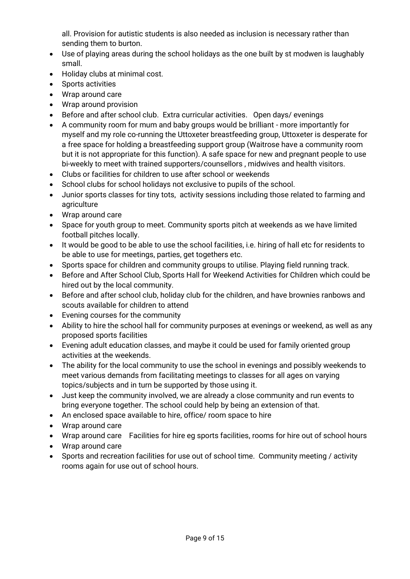all. Provision for autistic students is also needed as inclusion is necessary rather than sending them to burton.

- Use of playing areas during the school holidays as the one built by st modwen is laughably small.
- Holiday clubs at minimal cost.
- Sports activities
- Wrap around care
- Wrap around provision
- Before and after school club. Extra curricular activities. Open days/ evenings
- A community room for mum and baby groups would be brilliant more importantly for myself and my role co-running the Uttoxeter breastfeeding group, Uttoxeter is desperate for a free space for holding a breastfeeding support group (Waitrose have a community room but it is not appropriate for this function). A safe space for new and pregnant people to use bi-weekly to meet with trained supporters/counsellors , midwives and health visitors.
- Clubs or facilities for children to use after school or weekends
- School clubs for school holidays not exclusive to pupils of the school.
- Junior sports classes for tiny tots, activity sessions including those related to farming and agriculture
- Wrap around care
- Space for youth group to meet. Community sports pitch at weekends as we have limited football pitches locally.
- It would be good to be able to use the school facilities, i.e. hiring of hall etc for residents to be able to use for meetings, parties, get togethers etc.
- Sports space for children and community groups to utilise. Playing field running track.
- Before and After School Club, Sports Hall for Weekend Activities for Children which could be hired out by the local community.
- Before and after school club, holiday club for the children, and have brownies ranbows and scouts available for children to attend
- Evening courses for the community
- Ability to hire the school hall for community purposes at evenings or weekend, as well as any proposed sports facilities
- Evening adult education classes, and maybe it could be used for family oriented group activities at the weekends.
- The ability for the local community to use the school in evenings and possibly weekends to meet various demands from facilitating meetings to classes for all ages on varying topics/subjects and in turn be supported by those using it.
- Just keep the community involved, we are already a close community and run events to bring everyone together. The school could help by being an extension of that.
- An enclosed space available to hire, office/ room space to hire
- Wrap around care
- Wrap around care Facilities for hire eg sports facilities, rooms for hire out of school hours
- Wrap around care
- Sports and recreation facilities for use out of school time. Community meeting / activity rooms again for use out of school hours.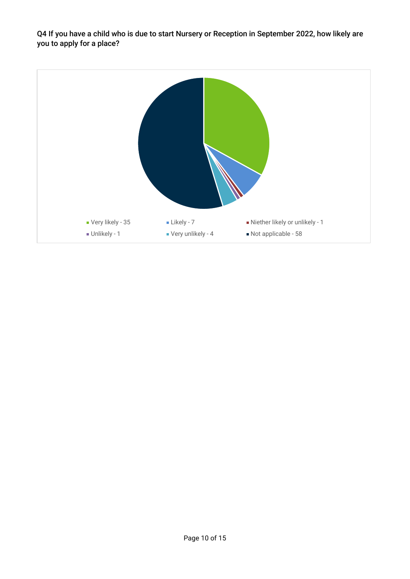Q4 If you have a child who is due to start Nursery or Reception in September 2022, how likely are you to apply for a place?

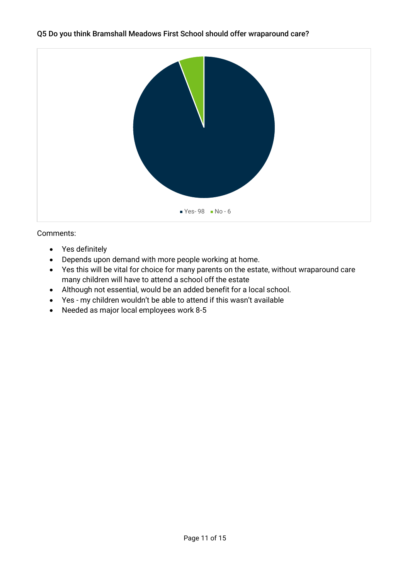#### Q5 Do you think Bramshall Meadows First School should offer wraparound care?



- Yes definitely
- Depends upon demand with more people working at home.
- Yes this will be vital for choice for many parents on the estate, without wraparound care many children will have to attend a school off the estate
- Although not essential, would be an added benefit for a local school.
- Yes my children wouldn't be able to attend if this wasn't available
- Needed as major local employees work 8-5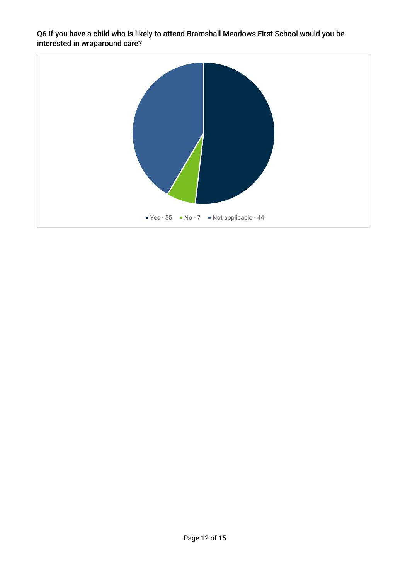Q6 If you have a child who is likely to attend Bramshall Meadows First School would you be interested in wraparound care?

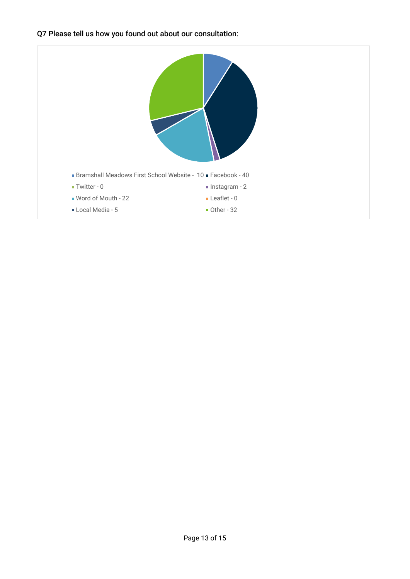Q7 Please tell us how you found out about our consultation:

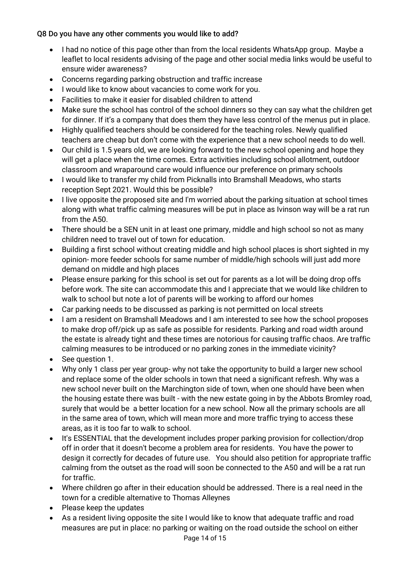#### Q8 Do you have any other comments you would like to add?

- I had no notice of this page other than from the local residents WhatsApp group. Maybe a leaflet to local residents advising of the page and other social media links would be useful to ensure wider awareness?
- Concerns regarding parking obstruction and traffic increase
- I would like to know about vacancies to come work for you.
- Facilities to make it easier for disabled children to attend
- Make sure the school has control of the school dinners so they can say what the children get for dinner. If it's a company that does them they have less control of the menus put in place.
- Highly qualified teachers should be considered for the teaching roles. Newly qualified teachers are cheap but don't come with the experience that a new school needs to do well.
- Our child is 1.5 years old, we are looking forward to the new school opening and hope they will get a place when the time comes. Extra activities including school allotment, outdoor classroom and wraparound care would influence our preference on primary schools
- I would like to transfer my child from Picknalls into Bramshall Meadows, who starts reception Sept 2021. Would this be possible?
- I live opposite the proposed site and I'm worried about the parking situation at school times along with what traffic calming measures will be put in place as Ivinson way will be a rat run from the A50.
- There should be a SEN unit in at least one primary, middle and high school so not as many children need to travel out of town for education.
- Building a first school without creating middle and high school places is short sighted in my opinion- more feeder schools for same number of middle/high schools will just add more demand on middle and high places
- Please ensure parking for this school is set out for parents as a lot will be doing drop offs before work. The site can accommodate this and I appreciate that we would like children to walk to school but note a lot of parents will be working to afford our homes
- Car parking needs to be discussed as parking is not permitted on local streets
- I am a resident on Bramshall Meadows and I am interested to see how the school proposes to make drop off/pick up as safe as possible for residents. Parking and road width around the estate is already tight and these times are notorious for causing traffic chaos. Are traffic calming measures to be introduced or no parking zones in the immediate vicinity?
- See question 1.
- Why only 1 class per year group- why not take the opportunity to build a larger new school and replace some of the older schools in town that need a significant refresh. Why was a new school never built on the Marchington side of town, when one should have been when the housing estate there was built - with the new estate going in by the Abbots Bromley road, surely that would be a better location for a new school. Now all the primary schools are all in the same area of town, which will mean more and more traffic trying to access these areas, as it is too far to walk to school.
- It's ESSENTIAL that the development includes proper parking provision for collection/drop off in order that it doesn't become a problem area for residents. You have the power to design it correctly for decades of future use. You should also petition for appropriate traffic calming from the outset as the road will soon be connected to the A50 and will be a rat run for traffic.
- Where children go after in their education should be addressed. There is a real need in the town for a credible alternative to Thomas Alleynes
- Please keep the updates
- As a resident living opposite the site I would like to know that adequate traffic and road measures are put in place: no parking or waiting on the road outside the school on either